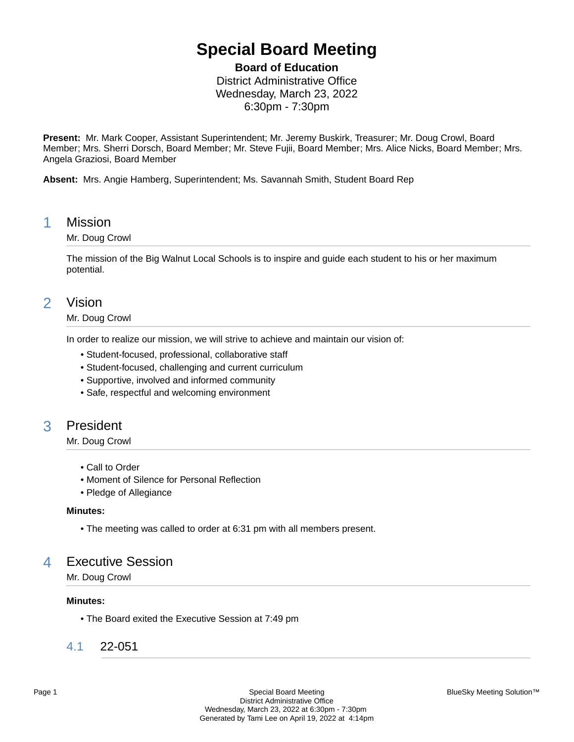# **Special Board Meeting**

**Board of Education**

District Administrative Office Wednesday, March 23, 2022 6:30pm - 7:30pm

**Present:** Mr. Mark Cooper, Assistant Superintendent; Mr. Jeremy Buskirk, Treasurer; Mr. Doug Crowl, Board Member; Mrs. Sherri Dorsch, Board Member; Mr. Steve Fujii, Board Member; Mrs. Alice Nicks, Board Member; Mrs. Angela Graziosi, Board Member

**Absent:** Mrs. Angie Hamberg, Superintendent; Ms. Savannah Smith, Student Board Rep

### 1 Mission

### Mr. Doug Crowl

The mission of the Big Walnut Local Schools is to inspire and guide each student to his or her maximum potential.

### 2 Vision

### Mr. Doug Crowl

In order to realize our mission, we will strive to achieve and maintain our vision of:

- Student-focused, professional, collaborative staff
- Student-focused, challenging and current curriculum
- Supportive, involved and informed community
- Safe, respectful and welcoming environment

### 3 President

### Mr. Doug Crowl

- Call to Order
- Moment of Silence for Personal Reflection
- Pledge of Allegiance

#### **Minutes:**

• The meeting was called to order at 6:31 pm with all members present.

## 4 Executive Session

Mr. Doug Crowl

### **Minutes:**

• The Board exited the Executive Session at 7:49 pm

### 4.1 22-051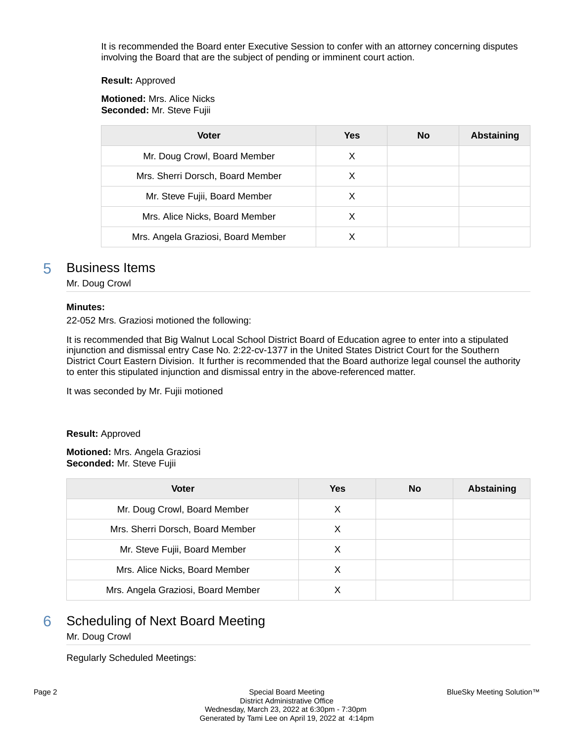It is recommended the Board enter Executive Session to confer with an attorney concerning disputes involving the Board that are the subject of pending or imminent court action.

#### **Result:** Approved

**Motioned:** Mrs. Alice Nicks **Seconded:** Mr. Steve Fujii

| <b>Voter</b>                       | Yes | No | <b>Abstaining</b> |
|------------------------------------|-----|----|-------------------|
| Mr. Doug Crowl, Board Member       | X   |    |                   |
| Mrs. Sherri Dorsch, Board Member   | х   |    |                   |
| Mr. Steve Fujii, Board Member      | х   |    |                   |
| Mrs. Alice Nicks, Board Member     | х   |    |                   |
| Mrs. Angela Graziosi, Board Member |     |    |                   |

### 5 Business Items

Mr. Doug Crowl

### **Minutes:**

22-052 Mrs. Graziosi motioned the following:

It is recommended that Big Walnut Local School District Board of Education agree to enter into a stipulated injunction and dismissal entry Case No. 2:22-cv-1377 in the United States District Court for the Southern District Court Eastern Division. It further is recommended that the Board authorize legal counsel the authority to enter this stipulated injunction and dismissal entry in the above-referenced matter.

It was seconded by Mr. Fujii motioned

#### **Result:** Approved

**Motioned:** Mrs. Angela Graziosi **Seconded:** Mr. Steve Fujii

| <b>Voter</b>                       | <b>Yes</b> | <b>No</b> | Abstaining |
|------------------------------------|------------|-----------|------------|
| Mr. Doug Crowl, Board Member       | X          |           |            |
| Mrs. Sherri Dorsch, Board Member   | х          |           |            |
| Mr. Steve Fujii, Board Member      | X          |           |            |
| Mrs. Alice Nicks, Board Member     | X          |           |            |
| Mrs. Angela Graziosi, Board Member | х          |           |            |

# **6** Scheduling of Next Board Meeting

### Mr. Doug Crowl

Regularly Scheduled Meetings: